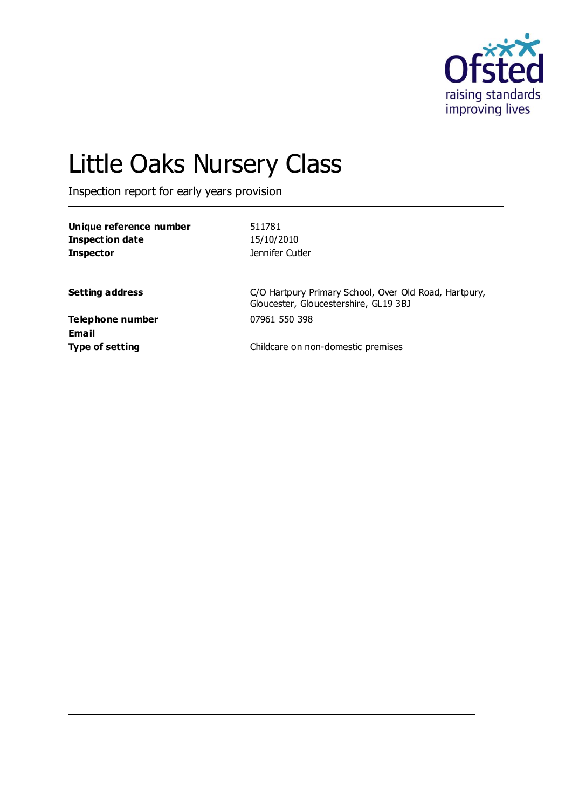

# Little Oaks Nursery Class

Inspection report for early years provision

| Unique reference number<br><b>Inspection date</b><br><b>Inspector</b> | 511781<br>15/10/2010<br>Jennifer Cutler                                                        |
|-----------------------------------------------------------------------|------------------------------------------------------------------------------------------------|
| <b>Setting address</b>                                                | C/O Hartpury Primary School, Over Old Road, Hartpury,<br>Gloucester, Gloucestershire, GL19 3BJ |
| Telephone number<br>Fmail                                             | 07961 550 398                                                                                  |

**Email**

**Type of setting Type of setting Childcare on non-domestic premises**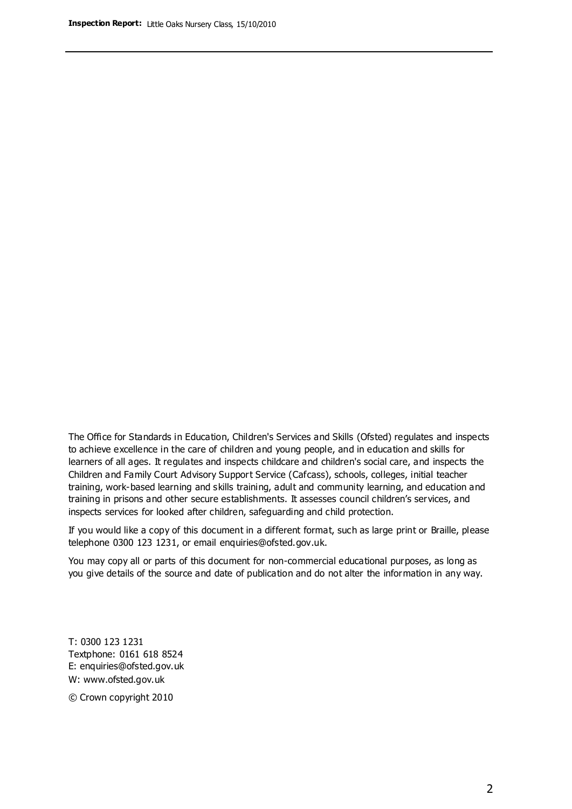The Office for Standards in Education, Children's Services and Skills (Ofsted) regulates and inspects to achieve excellence in the care of children and young people, and in education and skills for learners of all ages. It regulates and inspects childcare and children's social care, and inspects the Children and Family Court Advisory Support Service (Cafcass), schools, colleges, initial teacher training, work-based learning and skills training, adult and community learning, and education and training in prisons and other secure establishments. It assesses council children's services, and inspects services for looked after children, safeguarding and child protection.

If you would like a copy of this document in a different format, such as large print or Braille, please telephone 0300 123 1231, or email enquiries@ofsted.gov.uk.

You may copy all or parts of this document for non-commercial educational purposes, as long as you give details of the source and date of publication and do not alter the information in any way.

T: 0300 123 1231 Textphone: 0161 618 8524 E: enquiries@ofsted.gov.uk W: [www.ofsted.gov.uk](http://www.ofsted.gov.uk/)

© Crown copyright 2010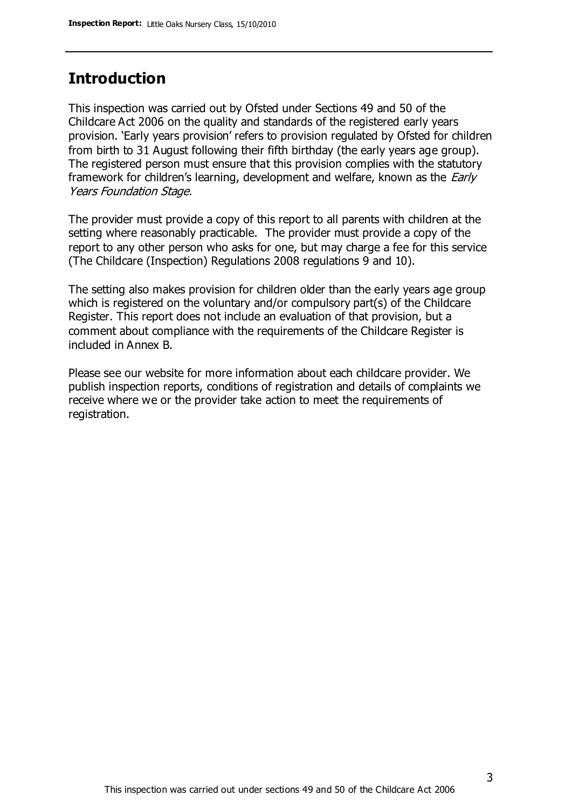### **Introduction**

This inspection was carried out by Ofsted under Sections 49 and 50 of the Childcare Act 2006 on the quality and standards of the registered early years provision. 'Early years provision' refers to provision regulated by Ofsted for children from birth to 31 August following their fifth birthday (the early years age group). The registered person must ensure that this provision complies with the statutory framework for children's learning, development and welfare, known as the *Early* Years Foundation Stage.

The provider must provide a copy of this report to all parents with children at the setting where reasonably practicable. The provider must provide a copy of the report to any other person who asks for one, but may charge a fee for this service (The Childcare (Inspection) Regulations 2008 regulations 9 and 10).

The setting also makes provision for children older than the early years age group which is registered on the voluntary and/or compulsory part(s) of the Childcare Register. This report does not include an evaluation of that provision, but a comment about compliance with the requirements of the Childcare Register is included in Annex B.

Please see our website for more information about each childcare provider. We publish inspection reports, conditions of registration and details of complaints we receive where we or the provider take action to meet the requirements of registration.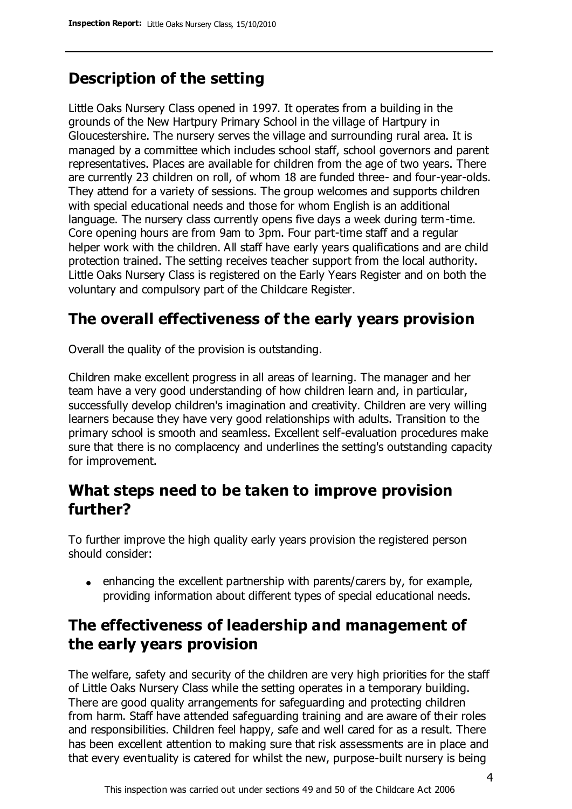# **Description of the setting**

Little Oaks Nursery Class opened in 1997. It operates from a building in the grounds of the New Hartpury Primary School in the village of Hartpury in Gloucestershire. The nursery serves the village and surrounding rural area. It is managed by a committee which includes school staff, school governors and parent representatives. Places are available for children from the age of two years. There are currently 23 children on roll, of whom 18 are funded three- and four-year-olds. They attend for a variety of sessions. The group welcomes and supports children with special educational needs and those for whom English is an additional language. The nursery class currently opens five days a week during term-time. Core opening hours are from 9am to 3pm. Four part-time staff and a regular helper work with the children. All staff have early years qualifications and are child protection trained. The setting receives teacher support from the local authority. Little Oaks Nursery Class is registered on the Early Years Register and on both the voluntary and compulsory part of the Childcare Register.

## **The overall effectiveness of the early years provision**

Overall the quality of the provision is outstanding.

Children make excellent progress in all areas of learning. The manager and her team have a very good understanding of how children learn and, in particular, successfully develop children's imagination and creativity. Children are very willing learners because they have very good relationships with adults. Transition to the primary school is smooth and seamless. Excellent self-evaluation procedures make sure that there is no complacency and underlines the setting's outstanding capacity for improvement.

### **What steps need to be taken to improve provision further?**

To further improve the high quality early years provision the registered person should consider:

 $\bullet$  enhancing the excellent partnership with parents/carers by, for example, providing information about different types of special educational needs.

# **The effectiveness of leadership and management of the early years provision**

The welfare, safety and security of the children are very high priorities for the staff of Little Oaks Nursery Class while the setting operates in a temporary building. There are good quality arrangements for safeguarding and protecting children from harm. Staff have attended safeguarding training and are aware of their roles and responsibilities. Children feel happy, safe and well cared for as a result. There has been excellent attention to making sure that risk assessments are in place and that every eventuality is catered for whilst the new, purpose-built nursery is being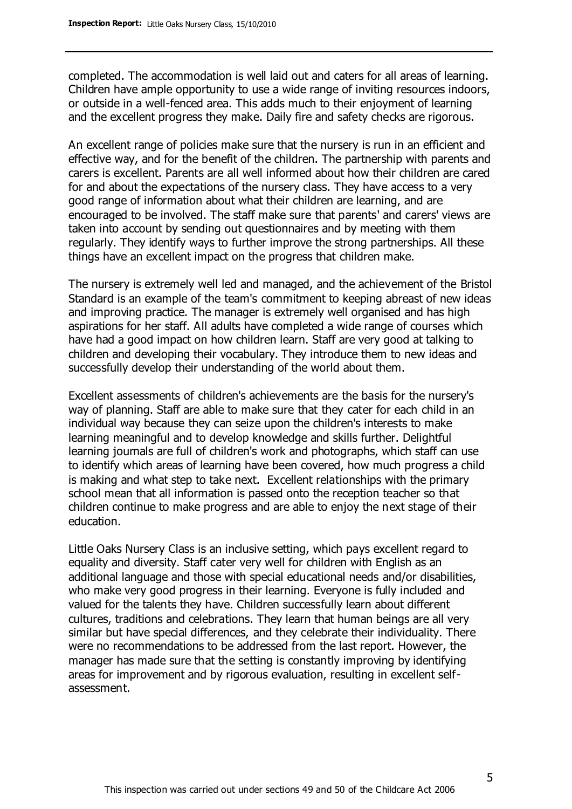completed. The accommodation is well laid out and caters for all areas of learning. Children have ample opportunity to use a wide range of inviting resources indoors, or outside in a well-fenced area. This adds much to their enjoyment of learning and the excellent progress they make. Daily fire and safety checks are rigorous.

An excellent range of policies make sure that the nursery is run in an efficient and effective way, and for the benefit of the children. The partnership with parents and carers is excellent. Parents are all well informed about how their children are cared for and about the expectations of the nursery class. They have access to a very good range of information about what their children are learning, and are encouraged to be involved. The staff make sure that parents' and carers' views are taken into account by sending out questionnaires and by meeting with them regularly. They identify ways to further improve the strong partnerships. All these things have an excellent impact on the progress that children make.

The nursery is extremely well led and managed, and the achievement of the Bristol Standard is an example of the team's commitment to keeping abreast of new ideas and improving practice. The manager is extremely well organised and has high aspirations for her staff. All adults have completed a wide range of courses which have had a good impact on how children learn. Staff are very good at talking to children and developing their vocabulary. They introduce them to new ideas and successfully develop their understanding of the world about them.

Excellent assessments of children's achievements are the basis for the nursery's way of planning. Staff are able to make sure that they cater for each child in an individual way because they can seize upon the children's interests to make learning meaningful and to develop knowledge and skills further. Delightful learning journals are full of children's work and photographs, which staff can use to identify which areas of learning have been covered, how much progress a child is making and what step to take next. Excellent relationships with the primary school mean that all information is passed onto the reception teacher so that children continue to make progress and are able to enjoy the next stage of their education.

Little Oaks Nursery Class is an inclusive setting, which pays excellent regard to equality and diversity. Staff cater very well for children with English as an additional language and those with special educational needs and/or disabilities, who make very good progress in their learning. Everyone is fully included and valued for the talents they have. Children successfully learn about different cultures, traditions and celebrations. They learn that human beings are all very similar but have special differences, and they celebrate their individuality. There were no recommendations to be addressed from the last report. However, the manager has made sure that the setting is constantly improving by identifying areas for improvement and by rigorous evaluation, resulting in excellent selfassessment.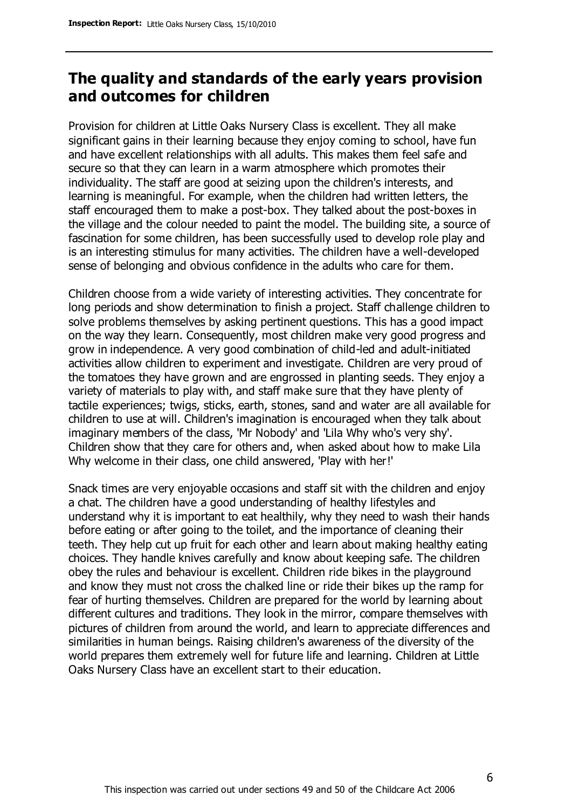### **The quality and standards of the early years provision and outcomes for children**

Provision for children at Little Oaks Nursery Class is excellent. They all make significant gains in their learning because they enjoy coming to school, have fun and have excellent relationships with all adults. This makes them feel safe and secure so that they can learn in a warm atmosphere which promotes their individuality. The staff are good at seizing upon the children's interests, and learning is meaningful. For example, when the children had written letters, the staff encouraged them to make a post-box. They talked about the post-boxes in the village and the colour needed to paint the model. The building site, a source of fascination for some children, has been successfully used to develop role play and is an interesting stimulus for many activities. The children have a well-developed sense of belonging and obvious confidence in the adults who care for them.

Children choose from a wide variety of interesting activities. They concentrate for long periods and show determination to finish a project. Staff challenge children to solve problems themselves by asking pertinent questions. This has a good impact on the way they learn. Consequently, most children make very good progress and grow in independence. A very good combination of child-led and adult-initiated activities allow children to experiment and investigate. Children are very proud of the tomatoes they have grown and are engrossed in planting seeds. They enjoy a variety of materials to play with, and staff make sure that they have plenty of tactile experiences; twigs, sticks, earth, stones, sand and water are all available for children to use at will. Children's imagination is encouraged when they talk about imaginary members of the class, 'Mr Nobody' and 'Lila Why who's very shy'. Children show that they care for others and, when asked about how to make Lila Why welcome in their class, one child answered, 'Play with her!'

Snack times are very enjoyable occasions and staff sit with the children and enjoy a chat. The children have a good understanding of healthy lifestyles and understand why it is important to eat healthily, why they need to wash their hands before eating or after going to the toilet, and the importance of cleaning their teeth. They help cut up fruit for each other and learn about making healthy eating choices. They handle knives carefully and know about keeping safe. The children obey the rules and behaviour is excellent. Children ride bikes in the playground and know they must not cross the chalked line or ride their bikes up the ramp for fear of hurting themselves. Children are prepared for the world by learning about different cultures and traditions. They look in the mirror, compare themselves with pictures of children from around the world, and learn to appreciate differences and similarities in human beings. Raising children's awareness of the diversity of the world prepares them extremely well for future life and learning. Children at Little Oaks Nursery Class have an excellent start to their education.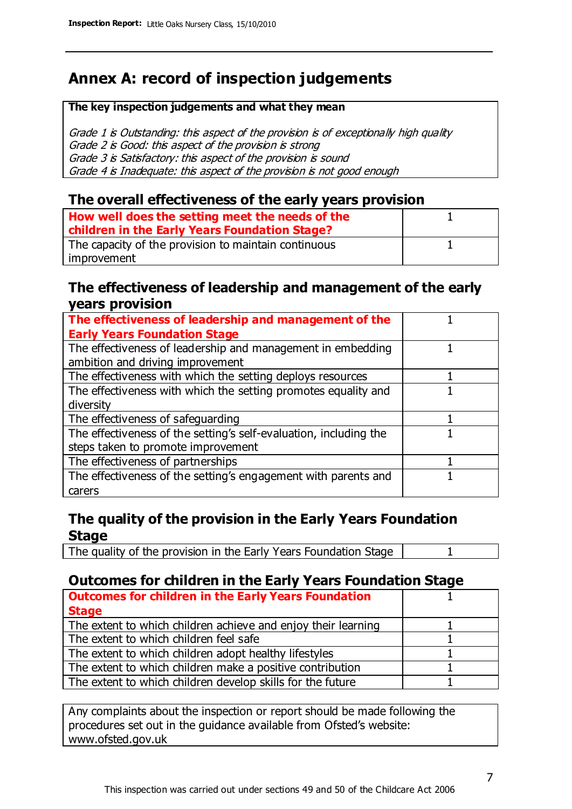# **Annex A: record of inspection judgements**

#### **The key inspection judgements and what they mean**

Grade 1 is Outstanding: this aspect of the provision is of exceptionally high quality Grade 2 is Good: this aspect of the provision is strong Grade 3 is Satisfactory: this aspect of the provision is sound Grade 4 is Inadequate: this aspect of the provision is not good enough

#### **The overall effectiveness of the early years provision**

| How well does the setting meet the needs of the<br>children in the Early Years Foundation Stage? |  |
|--------------------------------------------------------------------------------------------------|--|
| The capacity of the provision to maintain continuous                                             |  |
| improvement                                                                                      |  |

#### **The effectiveness of leadership and management of the early years provision**

| The effectiveness of leadership and management of the             |  |
|-------------------------------------------------------------------|--|
| <b>Early Years Foundation Stage</b>                               |  |
| The effectiveness of leadership and management in embedding       |  |
| ambition and driving improvement                                  |  |
| The effectiveness with which the setting deploys resources        |  |
| The effectiveness with which the setting promotes equality and    |  |
| diversity                                                         |  |
| The effectiveness of safeguarding                                 |  |
| The effectiveness of the setting's self-evaluation, including the |  |
| steps taken to promote improvement                                |  |
| The effectiveness of partnerships                                 |  |
| The effectiveness of the setting's engagement with parents and    |  |
| carers                                                            |  |

#### **The quality of the provision in the Early Years Foundation Stage**

The quality of the provision in the Early Years Foundation Stage | 1

#### **Outcomes for children in the Early Years Foundation Stage**

| <b>Outcomes for children in the Early Years Foundation</b>    |  |
|---------------------------------------------------------------|--|
| <b>Stage</b>                                                  |  |
| The extent to which children achieve and enjoy their learning |  |
| The extent to which children feel safe                        |  |
| The extent to which children adopt healthy lifestyles         |  |
| The extent to which children make a positive contribution     |  |
| The extent to which children develop skills for the future    |  |
|                                                               |  |

Any complaints about the inspection or report should be made following the procedures set out in the guidance available from Ofsted's website: www.ofsted.gov.uk